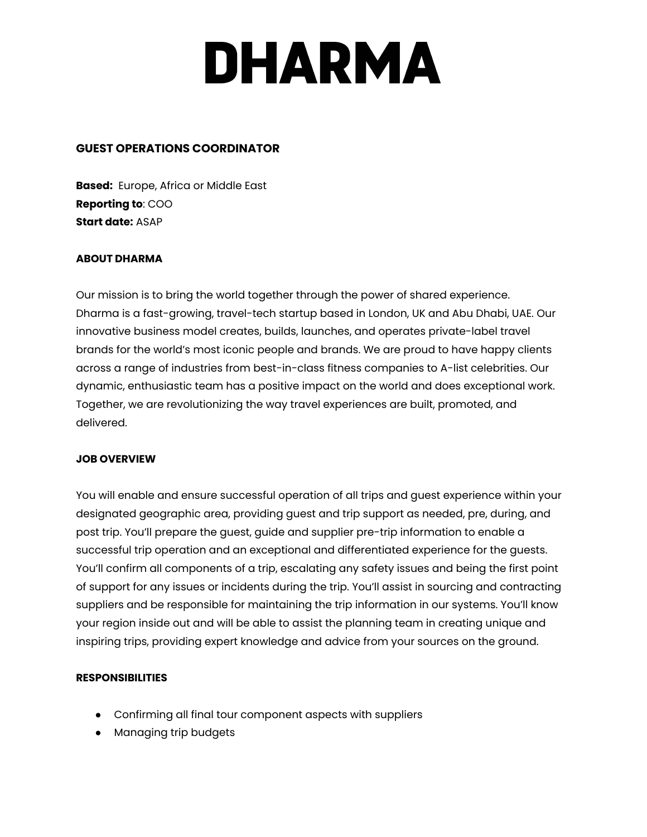# DHARMA

### **GUEST OPERATIONS COORDINATOR**

**Based:** Europe, Africa or Middle East **Reporting to**: COO **Start date:** ASAP

### **ABOUT DHARMA**

Our mission is to bring the world together through the power of shared experience. Dharma is a fast-growing, travel-tech startup based in London, UK and Abu Dhabi, UAE. Our innovative business model creates, builds, launches, and operates private-label travel brands for the world's most iconic people and brands. We are proud to have happy clients across a range of industries from best-in-class fitness companies to A-list celebrities. Our dynamic, enthusiastic team has a positive impact on the world and does exceptional work. Together, we are revolutionizing the way travel experiences are built, promoted, and delivered.

### **JOB OVERVIEW**

You will enable and ensure successful operation of all trips and guest experience within your designated geographic area, providing guest and trip support as needed, pre, during, and post trip. You'll prepare the guest, guide and supplier pre-trip information to enable a successful trip operation and an exceptional and differentiated experience for the guests. You'll confirm all components of a trip, escalating any safety issues and being the first point of support for any issues or incidents during the trip. You'll assist in sourcing and contracting suppliers and be responsible for maintaining the trip information in our systems. You'll know your region inside out and will be able to assist the planning team in creating unique and inspiring trips, providing expert knowledge and advice from your sources on the ground.

### **RESPONSIBILITIES**

- Confirming all final tour component aspects with suppliers
- Managing trip budgets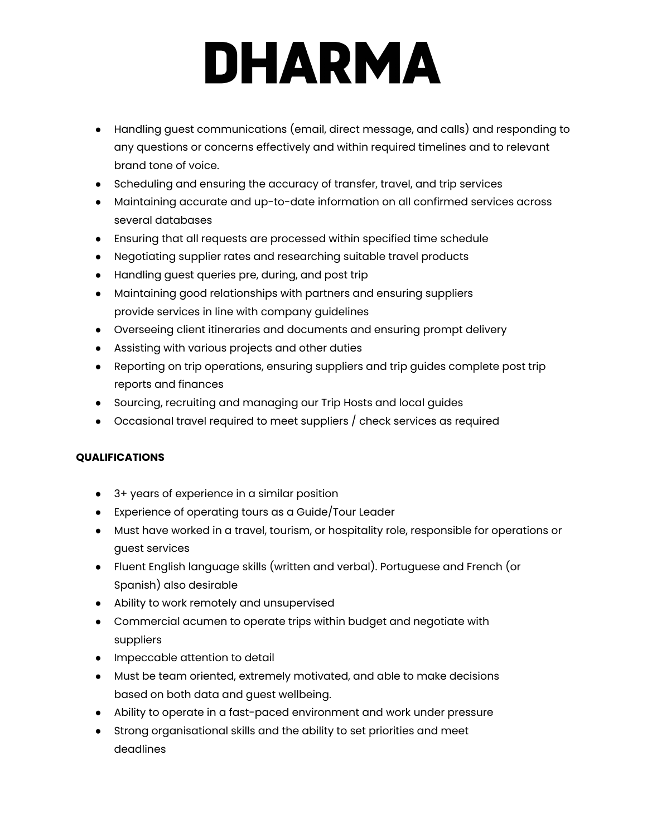# **DHARMA**

- Handling guest communications (email, direct message, and calls) and responding to any questions or concerns effectively and within required timelines and to relevant brand tone of voice.
- Scheduling and ensuring the accuracy of transfer, travel, and trip services
- Maintaining accurate and up-to-date information on all confirmed services across several databases
- Ensuring that all requests are processed within specified time schedule
- Negotiating supplier rates and researching suitable travel products
- Handling guest queries pre, during, and post trip
- Maintaining good relationships with partners and ensuring suppliers provide services in line with company guidelines
- Overseeing client itineraries and documents and ensuring prompt delivery
- Assisting with various projects and other duties
- Reporting on trip operations, ensuring suppliers and trip guides complete post trip reports and finances
- Sourcing, recruiting and managing our Trip Hosts and local guides
- Occasional travel required to meet suppliers / check services as required

## **QUALIFICATIONS**

- 3+ years of experience in a similar position
- Experience of operating tours as a Guide/Tour Leader
- Must have worked in a travel, tourism, or hospitality role, responsible for operations or guest services
- Fluent English language skills (written and verbal). Portuguese and French (or Spanish) also desirable
- Ability to work remotely and unsupervised
- Commercial acumen to operate trips within budget and negotiate with suppliers
- Impeccable attention to detail
- Must be team oriented, extremely motivated, and able to make decisions based on both data and guest wellbeing.
- Ability to operate in a fast-paced environment and work under pressure
- Strong organisational skills and the ability to set priorities and meet deadlines